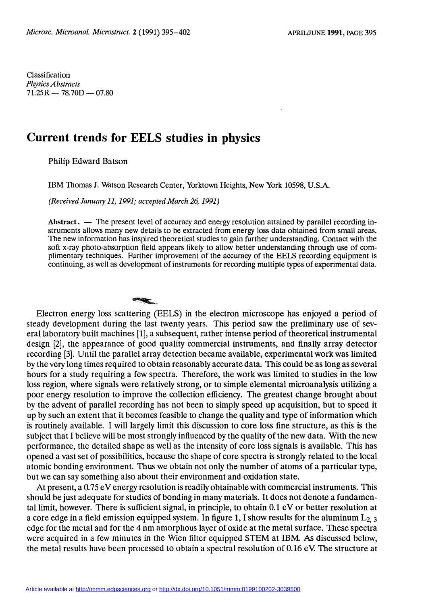Classification Physics Abstracts  $71.25R - 78.70D - 07.80$ 

## Current trends for EELS studies in physics

Philip Edward Batson

IBM Thomas J. Watson Research Center, Yorktown Heights, New York 10598, U.S.A.

(Received January 11, 1991; accepted March 26, 1991)

Abstract.  $\overline{a}$  The present level of accuracy and energy resolution attained by parallel recording instruments allows many new details to be extracted from energy loss data obtained from small areas. The new information has inspired theoretical studies to gain further understanding. Contact with the soft x-ray photo-absorption field appears likely to allow better understanding through use of complimentary techniques. Further improvement of the accuracy of the EELS recording equipment is continuing, as well as development of instruments for recording multiple types of experimental data.

Electron energy loss scattering (EELS) in the electron microscope has enjoyed a period of steady development during the last twenty years. This period saw the preliminary use of several laboratory built machines [1], a subsequent, rather intense period of theoretical instrumental design [2], the appearance of good quality commercial instruments, and finally array detector recording [3]. Until the parallel array detection became available, experimental work was limited by the very long times required to obtain reasonably accurate data. This could be as long as several hours for a study requiring a few spectra. Therefore, the work was limited to studies in the low loss region, where signals were relatively strong, or to simple elemental microanalysis utilizing a poor energy resolution to improve the collection efficiency. The greatest change brought about by the advent of parallel recording has not been to simply speed up acquisition, but to speed it up by such an extent that it becomes feasible to change the quality and type of information which is routinely available. 1 will largely limit this discussion to core loss fine structure, as this is the subject that 1 believe will be most strongly influenced by the quality of the new data. With the new performance, the detailed shape as well as the intensity of core loss signals is available. This has opened a vast set of possibilities, because the shape of core spectra is strongly related to the local atomic bonding environment. Thus we obtain not only the number of atoms of a particular type, but we can say something also about their environment and oxidation state.

At present, a 0.75 eV energy resolution is readily obtainable with commercial instruments. This should be just adequate for studies of bonding in many materials. It does not denote a fundamental limit, however. There is sufficient signal, in principle, to obtain 0.1 eV or better resolution at a core edge in a field emission equipped system. In figure 1, I show results for the aluminum  $L_{2, 3}$ edge for the metal and for the 4 nm amorphous layer of oxide at the metal surface. These spectra were acquired in a few minutes in the Wien filter equipped STEM at IBM. As discussed below, the metal results have been processed to obtain a spectral resolution of 0.16 eV. The structure at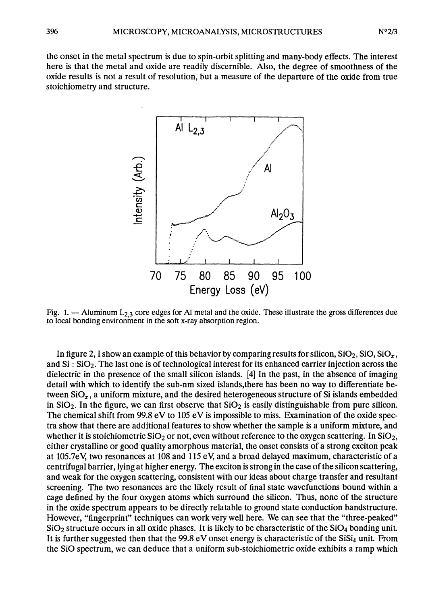the onset in the metal spectrum is due to spin-orbit splitting and many-body effects. The interest here is that the metal and oxide are readily discernible. Also, the degree of smoothness of the oxide results is not a result of resolution, but a measure of the departure of the oxide from true stoichiometry and structure.



Fig. 1.  $-$  Aluminum  $L_{2,3}$  core edges for Al metal and the oxide. These illustrate the gross differences due to local bonding environment in the soft x-ray absorption region.

In figure 2, I show an example of this behavior by comparing results for silicon,  $SiO<sub>2</sub>$ ,  $SiO<sub>z</sub>$ ,  $SiO<sub>x</sub>$ , and Si : Si02. The last one is of technological interest for its enhanced carrier injection across the dielectric in the presence of the small silicon islands. [4] In the past, in the absence of imaging detail with which to identify the sub-nm sized islands,there has been no way to differentiate between  $\text{SiO}_x$ , a uniform mixture, and the desired heterogeneous structure of Si islands embedded in  $SiO<sub>2</sub>$ . In the figure, we can first observe that  $SiO<sub>2</sub>$  is easily distinguishable from pure silicon. The chemical shift from  $99.8 \text{ eV}$  to  $105 \text{ eV}$  is impossible to miss. Examination of the oxide spectra show that there are additional features to show whether the sample is a uniform mixture, and whether it is stoichiometric  $SiO<sub>2</sub>$  or not, even without reference to the oxygen scattering. In  $SiO<sub>2</sub>$ , either crystalline or good quality amorphous material, the onset consists of a strong exciton peak at 105.7eV, two resonances at 108 and 115 eV, and a broad delayed maximum, characteristic of a centrifugal barrier, lying at higher energy. The exciton is strong in the case of the silicon scattering, and weak for the oxygen scattering, consistent with our ideas about charge transfer and resultant screening. The two resonances are the likely result of final state wavefunctions bound within a cage defined by the four oxygen atoms which surround the silicon. Thus, none of the structure in the oxide spectrum appears to be directly relatable to ground state conduction bandstructure. However, "fingerprint" techniques can work very well here. We can see that the "three-peaked"  $SiO<sub>2</sub>$  structure occurs in all oxide phases. It is likely to be characteristic of the  $SiO<sub>4</sub>$  bonding unit. It is further suggested then that the 99.8 eV onset energy is characteristic of the SiSi<sub>4</sub> unit. From the SiO spectrum, we can deduce that a uniform sub-stoichiometric oxide exhibits a ramp which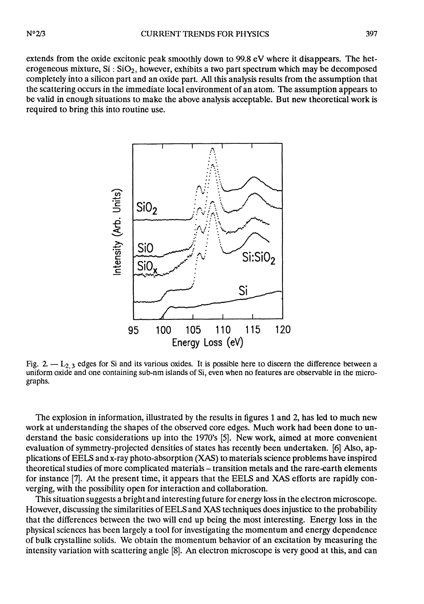extends from the oxide excitonic peak smoothly down to 99.8 eV where it disappears. The heterogeneous mixture,  $Si$  :  $SiO<sub>2</sub>$ , however, exhibits a two part spectrum which may be decomposed completely into a silicon part and an oxide part. All this analysis results from the assumption that the scattering occurs in the immediate local environment of an atom. The assumption appears to be valid in enough situations to make the above analysis acceptable. But new theoretical work is required to bring this into routine use.



Fig. 2.  $-L_2$ , edges for Si and its various oxides. It is possible here to discern the difference between a uniform oxide and one containing sub-nm islands of Si, even when no features are observable in the micrographs.

The explosion in information, illustrated by the results in figures 1 and 2, has led to much new work at understanding the shapes of the observed core edges. Much work had been done to understand the basic considerations up into the 1970's [5]. New work, aimed at more convenient evaluation of symmetry-projected densities of states has recently been undertaken. [6] Also, applications of EELS and x-ray photo-absorption (XAS) to materials science problems have inspired theoretical studies of more complicated materials - transition metals and the rare-earth elements for instance [7]. At the present time, it appears that the EELS and XAS efforts are rapidly converging, with the possibility open for interaction and collaboration.

This situation suggests a bright and interesting future for energy loss in the electron microscope. However, discussing the similarities of EELS and XAS techniques does injustice to the probability that the differences between the two will end up being the most interesting. Energy loss in the physical sciences has been largely a tool for investigating the momentum and energy dependence of bulk crystalline solids. We obtain the momentum behavior of an excitation by measuring the intensity variation with scattering angle [8]. An electron microscope is very good at this, and can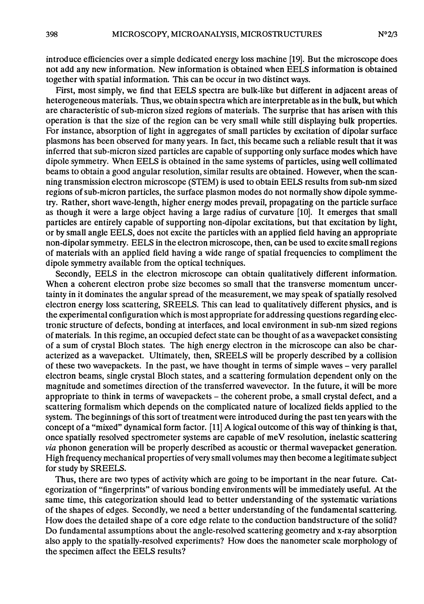introduce efficiencies over a simple dedicated energy loss machine [19]. But the microscope does not add any new information. New information is obtained when EELS information is obtained together with spatial information. This can be occur in two distinct ways.

First, most simply, we find that EELS spectra are bulk-like but different in adjacent areas of heterogeneous materials. Thus, we obtain spectra which are interpretable as in the bulk, but which are characteristic of sub-micron sized regions of materials. The surprise that has arisen with this operation is that the size of the region can be very small while still displaying bulk properties. For instance, absorption of light in aggregates of small particles by excitation of dipolar surface plasmons has been observed for many years. In fact, this became such a reliable result that it was inferred that sub-micron sized particles are capable of supporting only surface modes which have dipole symmetry. When EELS is obtained in the same systems of particles, using well collimated beams to obtain a good angular resolution, similar results are obtained. However, when the scanning transmission electron microscope (STEM) is used to obtain EELS results from sub-nm sized regions of sub-micron particles, the surface plasmon modes do not normally show dipole symmetry. Rather, short wave-length, higher energy modes prevail, propagating on the particle surface as though it were a large object having a large radius of curvature [10]. It emerges that small particles are entirely capable of supporting non-dipolar excitations, but that excitation by light, or by small angle EELS, does not excite the particles with an applied field having an appropriate non-dipolar symmetry. EELS in the electron microscope, then, can be used to excite small regions of materials with an applied field having a wide range of spatial frequencies to compliment the dipole symmetry available from the optical techniques.

Secondly, EELS in the electron microscope can obtain qualitatively different information. When a coherent electron probe size becomes so small that the transverse momentum uncertainty in it dominates the angular spread of the measurement, we may speak of spatially resolved electron energy loss scattering, SREELS. This can lead to qualitatively different physics, and is the experimental configuration which is most appropriate for addressing questions regarding electronic structure of defects, bonding at interfaces, and local environment in sub-nm sized regions of materials. In this regime, an occupied defect state can be thought of as a wavepacket consisting of a sum of crystal Bloch states. The high energy electron in the microscope can also be characterized as a wavepacket. Ultimately, then, SREELS will be properly described by a collision of these two wavepackets. In the past, we have thought in terms of simple waves - very parallel electron beams, single crystal Bloch states, and a scattering formulation dependent only on the magnitude and sometimes direction of the transferred wavevector. In the future, it will be more appropriate to think in terms of wavepackets - the coherent probe, a small crystal defect, and a scattering formalism which depends on the complicated nature of localized fields applied to the system. The beginnings of this sort of treatment were introduced during the past ten years with the concept of a "mixed" dynamical form factor. [11] A logical outcome of this way of thinking is that, once spatially resolved spectrometer systems are capable of  $meV$  resolution, inelastic scattering via phonon generation will be properly described as acoustic or thermal wavepacket generation. High frequency mechanical properties of very small volumes may then become a legitimate subject for study by SREELS.

Thus, there are two types of activity which are going to be important in the near future. Categorization of "fingerprints" of various bonding environments will be immediately useful. At the same time, this categorization should lead to better understanding of the systematic variations of the shapes of edges. Secondly, we need a better understanding of the fundamental scattering. How does the detailed shape of a core edge relate to the conduction bandstructure of the solid? Do fundamental assumptions about the angle-resolved scattering geometry and x-ray absorption also apply to the spatially-resolved experiments? How does the nanometer scale morphology of the specimen affect the EELS results?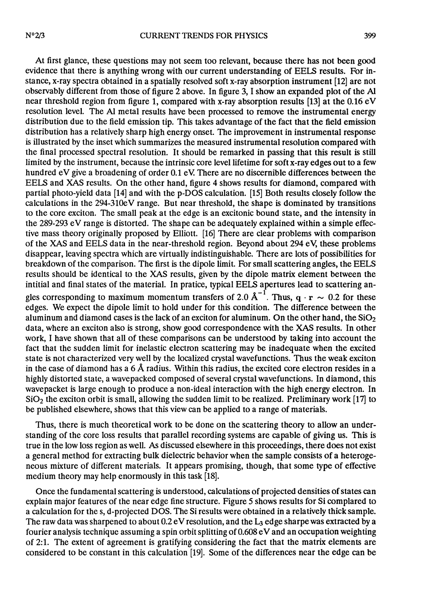At first glance, these questions may not seem too relevant, because there has not been good evidence that there is anything wrong with our current understanding of EELS results. For instance, x-ray spectra obtained in a spatially resolved soft x-ray absorption instrument [12] are not observably different from those of figure 2 above. In figure 3, 1 show an expanded plot of the Al near threshold region from figure 1, compared with x-ray absorption results [13] at the 0.16 eV resolution level. The Al metal results have been processed to remove the instrumental energy distribution due to the field emission tip. This takes advantage of the fact that the field emission distribution has a relatively sharp high energy onset. The improvement in instrumental response is illustrated by the inset which summarizes the measured instrumental resolution compared with the final processed spectral resolution. It should be remarked in passing that this result is still limited by the instrument, because the intrinsic core level lifetime for soft x-ray edges out to a few hundred eV give a broadening of order 0.1 eV There are no discernible differences between the EELS and XAS results. On the other hand, figure 4 shows results for diamond, compared with partial photo-yield data [14] and with the p-DOS calculation. [15] Both results closely follow the calculations in the 294-310eV range. But near threshold, the shape is dominated by transitions to the core exciton. The small peak at the edge is an excitonic bound state, and the intensity in the 289-293 eV range is distorted. The shape can be adequately explained within a simple effective mass theory originally proposed by Elliott. [16] There are clear problems with comparison of the XAS and EELS data in the near-threshold region. Beyond about 294 eV, these problems disappear, leaving spectra which are virtually indistinguishable. There are lots of possibilities for breakdown of the comparison. The first is the dipole limit. For small scattering angles, the EELS results should be identical to the XAS results, given by the dipole matrix element between the intitial and final states of the material. In pratice, typical EELS apertures lead to scattering angles corresponding to maximum momentum transfers of 2.0  $A^{-1}$ . Thus, q · r ~ 0.2 for these edges. We expect the dipole limit to hold under for this condition. The difference between the aluminum and diamond cases is the lack of an exciton for aluminum. On the other hand, the  $SiO<sub>2</sub>$ data, where an exciton also is strong, show good correspondence with the XAS results. In other work, 1 have shown that all of these comparisons can be understood by taking into account the fact that the sudden limit for inelastic electron scattering may be inadequate when the excited state is not characterized very well by the localized crystal wavefunctions. Thus the weak exciton in the case of diamond has a 6 A radius. Within this radius, the excited core electron resides in a highly distorted state, a wavepacked composed of several crystal wavefunctions. In diamond, this wavepacket is large enough to produce a non-ideal interaction with the high energy electron. In  $SiO<sub>2</sub>$  the exciton orbit is small, allowing the sudden limit to be realized. Preliminary work [17] to be published elsewhere, shows that this view can be applied to a range of materials.

Thus, there is much theoretical work to be done on the scattering theory to allow an understanding of the core loss results that parallel recording systems are capable of giving us. This is true in the low loss region as well. As discussed elsewhere in this proceedings, there does not exist a general method for extracting bulk dielectric behavior when the sample consists of a heteroge neous mixture of different materials. It appears promising, though, that some type of effective medium theory may help enormously in this task [18].

Once the fundamental scattering is understood, calculations of projected densities of states can explain major features of the near edge fine structure. Figure 5 shows results for Si complared to a calculation for the s, d-projected DOS. The Si results were obtained in a relatively thick sample. The raw data was sharpened to about  $0.2 \text{ eV}$  resolution, and the  $L_3$  edge sharpe was extracted by a fourier analysis technique assuming a spin orbit splitting of  $0.608 \text{ eV}$  and an occupation weighting of 2:1. The extent of agreement is gratifying considering the fact that the matrix elements are considered to be constant in this calculation [19]. Some of the differences near the edge can be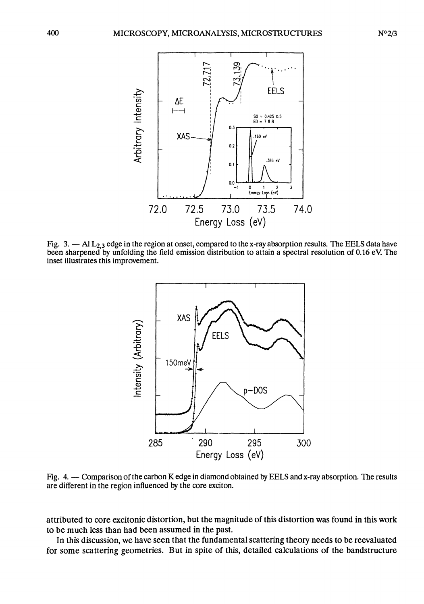



Fig. 3.  $-$  Al  $L_{2,3}$  edge in the region at onset, compared to the x-ray absorption results. The EELS data have been sharpened by unfolding the field emission distribution to attain a spectral resolution of 0.16 eV The inset illustrates this improvement.



Fig. 4. - Comparison of the carbon K edge in diamond obtained by EELS and x-ray absorption. The results are different in the region influenced by the core exciton.

attributed to core excitonic distortion, but the magnitude of this distortion was found in this work to be much less than had been assumed in the past.

In this discussion, we have seen that the fundamental scattering theory needs to be reevaluated for some scattering geometries. But in spite of this, detailed calculations of the bandstructure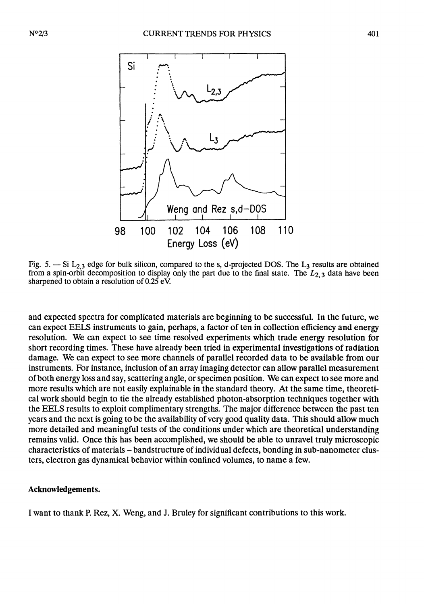

Fig. 5.  $-$  Si L<sub>2,3</sub> edge for bulk silicon, compared to the s, d-projected DOS. The L<sub>3</sub> results are obtained from a spin-orbit decomposition to display only the part due to the final state. The  $L_{2,3}$  data have been sharpened to obtain a resolution of 0.25 eV.

and expected spectra for complicated materials are beginning to be successful. In the future, we can expect EELS instruments to gain, perhaps, a factor of ten in collection efficiency and energy resolution. We can expect to see time resolved experiments which trade energy resolution for short recording times. These have already been tried in experimental investigations of radiation damage. We can expect to see more channels of parallel recorded data to be available from our instruments. For instance, inclusion of an array imaging detector can allow parallel measurement of both energy loss and say, scattering angle, or specimen position. We can expect to see more and more results which are not easily explainable in the standard theory. At the same time, theoretical work should begin to tie the already established photon-absorption techniques together with the EELS results to exploit complimentary strengths. The major difference between the past ten years and the next is going to be the availability of very good quality data. This should allow much more detailed and meaningful tests of the conditions under which are theoretical understanding remains valid. Once this has been accomplished, we should be able to unravel truly microscopic characteristics of materials - bandstructure of individual defects, bonding in sub-nanometer clusters, electron gas dynamical behavior within confined volumes, to name a few.

## Acknowledgements.

1 want to thank P. Rez, X. Weng, and J. Bruley for significant contributions to this work.